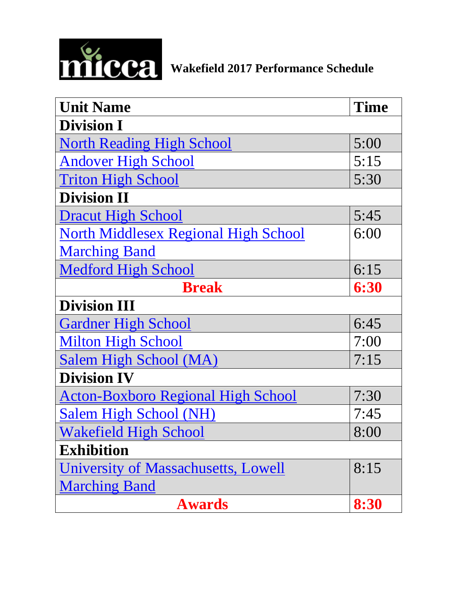<span id="page-0-0"></span>

| <b>Unit Name</b>                            | <b>Time</b> |
|---------------------------------------------|-------------|
| <b>Division I</b>                           |             |
| <b>North Reading High School</b>            | 5:00        |
| <b>Andover High School</b>                  | 5:15        |
| <b>Triton High School</b>                   | 5:30        |
| <b>Division II</b>                          |             |
| <b>Dracut High School</b>                   | 5:45        |
| <b>North Middlesex Regional High School</b> | 6:00        |
| <b>Marching Band</b>                        |             |
| <b>Medford High School</b>                  | 6:15        |
| <b>Break</b>                                | 6:30        |
| <b>Division III</b>                         |             |
| <b>Gardner High School</b>                  | 6:45        |
| <b>Milton High School</b>                   | 7:00        |
| Salem High School (MA)                      | 7:15        |
| <b>Division IV</b>                          |             |
| <b>Acton-Boxboro Regional High School</b>   | 7:30        |
| Salem High School (NH)                      | 7:45        |
| <b>Wakefield High School</b>                | 8:00        |
| <b>Exhibition</b>                           |             |
| University of Massachusetts, Lowell         | 8:15        |
| <b>Marching Band</b>                        |             |
| <b>Awards</b>                               | 8:30        |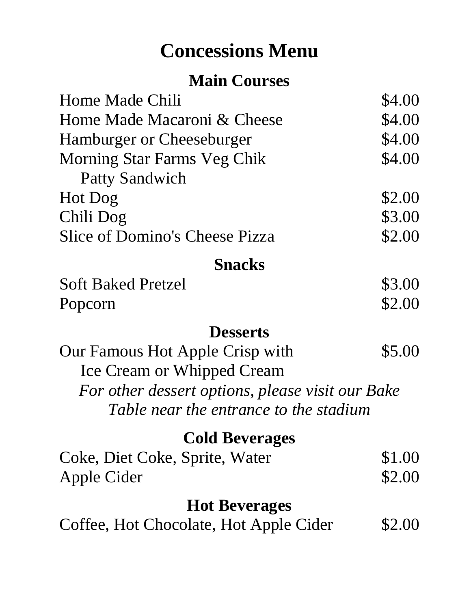# **Concessions Menu**

## **Main Courses**

| Home Made Chili                       | \$4.00 |
|---------------------------------------|--------|
| Home Made Macaroni & Cheese           | \$4.00 |
| <b>Hamburger or Cheeseburger</b>      | \$4.00 |
| <b>Morning Star Farms Veg Chik</b>    | \$4.00 |
| <b>Patty Sandwich</b>                 |        |
| Hot Dog                               | \$2.00 |
| Chili Dog                             | \$3.00 |
| <b>Slice of Domino's Cheese Pizza</b> | \$2.00 |
| <b>Snacks</b>                         |        |

| <b>Soft Baked Pretzel</b> | \$3.00 |
|---------------------------|--------|
| Popcorn                   | \$2.00 |

#### **Desserts**

| Our Famous Hot Apple Crisp with                  | \$5.00 |
|--------------------------------------------------|--------|
| <b>Ice Cream or Whipped Cream</b>                |        |
| For other dessert options, please visit our Bake |        |
| Table near the entrance to the stadium           |        |

## **Cold Beverages**

| Coke, Diet Coke, Sprite, Water | \$1.00 |
|--------------------------------|--------|
| Apple Cider                    | \$2.00 |

### **Hot Beverages**

Coffee, Hot Chocolate, Hot Apple Cider \$2.00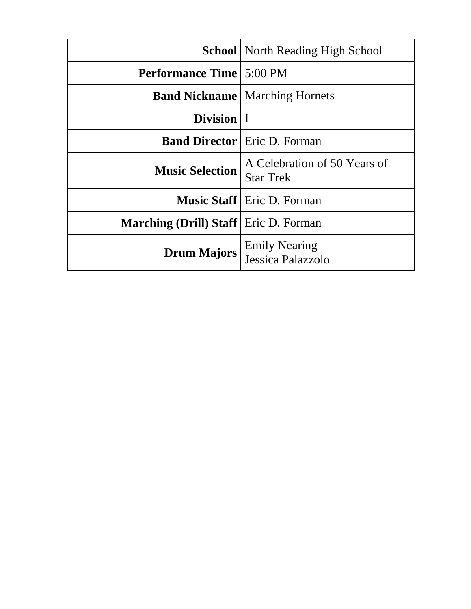<span id="page-2-0"></span>

|                                                | <b>School   North Reading High School</b>        |
|------------------------------------------------|--------------------------------------------------|
| <b>Performance Time   5:00 PM</b>              |                                                  |
|                                                | <b>Band Nickname</b>   Marching Hornets          |
| Division   I                                   |                                                  |
|                                                | <b>Band Director</b> Eric D. Forman              |
| <b>Music Selection</b>                         | A Celebration of 50 Years of<br><b>Star Trek</b> |
|                                                | <b>Music Staff</b>   Eric D. Forman              |
| <b>Marching (Drill) Staff</b>   Eric D. Forman |                                                  |
| <b>Drum Majors</b>                             | <b>Emily Nearing</b><br>Jessica Palazzolo        |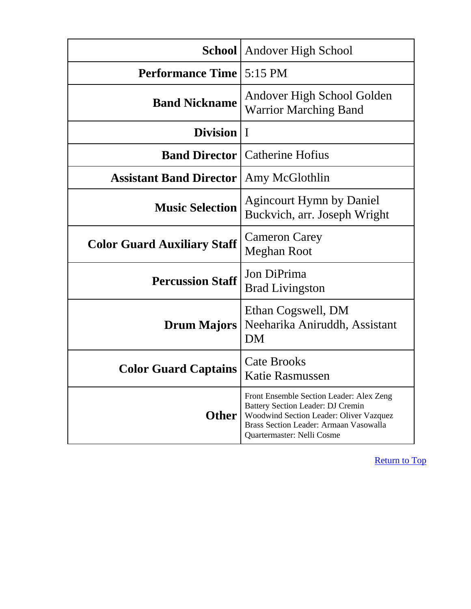<span id="page-3-0"></span>

|                                    | <b>School</b>   Andover High School                                                                                                                                                              |
|------------------------------------|--------------------------------------------------------------------------------------------------------------------------------------------------------------------------------------------------|
| <b>Performance Time</b> 5:15 PM    |                                                                                                                                                                                                  |
| <b>Band Nickname</b>               | Andover High School Golden<br><b>Warrior Marching Band</b>                                                                                                                                       |
| Division   I                       |                                                                                                                                                                                                  |
|                                    | <b>Band Director   Catherine Hofius</b>                                                                                                                                                          |
| <b>Assistant Band Director</b>     | Amy McGlothlin                                                                                                                                                                                   |
| <b>Music Selection</b>             | <b>Agincourt Hymn by Daniel</b><br>Buckvich, arr. Joseph Wright                                                                                                                                  |
| <b>Color Guard Auxiliary Staff</b> | <b>Cameron Carey</b><br>Meghan Root                                                                                                                                                              |
| <b>Percussion Staff</b>            | Jon DiPrima<br><b>Brad Livingston</b>                                                                                                                                                            |
| <b>Drum Majors</b>                 | Ethan Cogswell, DM<br>Neeharika Aniruddh, Assistant<br>DM                                                                                                                                        |
| <b>Color Guard Captains</b>        | <b>Cate Brooks</b><br>Katie Rasmussen                                                                                                                                                            |
| <b>Other</b>                       | Front Ensemble Section Leader: Alex Zeng<br>Battery Section Leader: DJ Cremin<br>Woodwind Section Leader: Oliver Vazquez<br>Brass Section Leader: Armaan Vasowalla<br>Quartermaster: Nelli Cosme |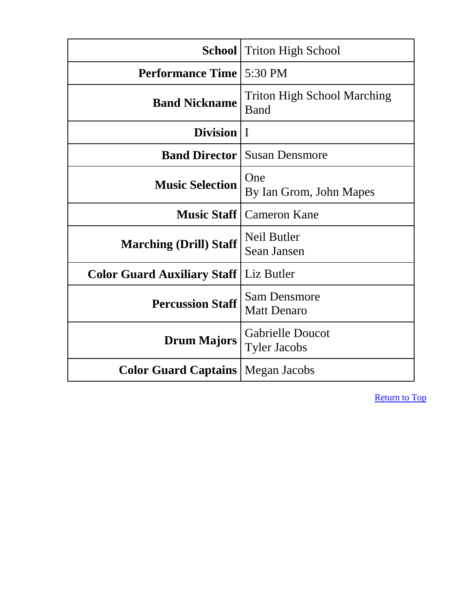<span id="page-4-0"></span>

|                                    | <b>School</b> Triton High School               |
|------------------------------------|------------------------------------------------|
| <b>Performance Time</b>            | $5:30 \text{ PM}$                              |
| <b>Band Nickname</b>               | <b>Triton High School Marching</b><br>Band     |
| Division   I                       |                                                |
| <b>Band Director</b>               | <b>Susan Densmore</b>                          |
| <b>Music Selection</b>             | One<br>By Ian Grom, John Mapes                 |
| <b>Music Staff</b>                 | <b>Cameron Kane</b>                            |
| <b>Marching (Drill) Staff</b>      | Neil Butler<br>Sean Jansen                     |
| <b>Color Guard Auxiliary Staff</b> | Liz Butler                                     |
| <b>Percussion Staff</b>            | <b>Sam Densmore</b><br><b>Matt Denaro</b>      |
| <b>Drum Majors</b>                 | <b>Gabrielle Doucot</b><br><b>Tyler Jacobs</b> |
| <b>Color Guard Captains</b>        | Megan Jacobs                                   |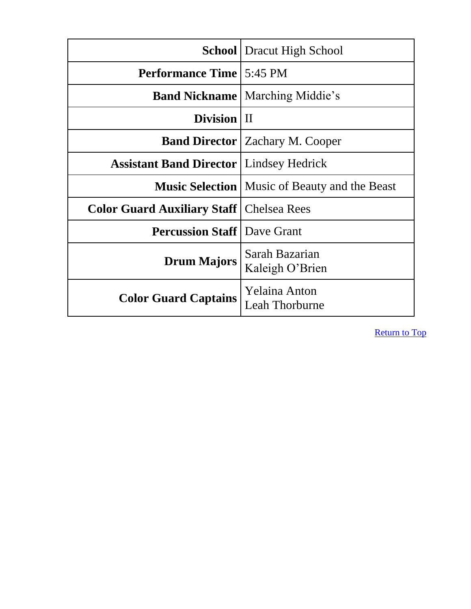<span id="page-5-0"></span>

|                                                   | <b>School</b> Dracut High School                       |
|---------------------------------------------------|--------------------------------------------------------|
| <b>Performance Time   5:45 PM</b>                 |                                                        |
|                                                   | <b>Band Nickname</b>   Marching Middie's               |
| Division   II                                     |                                                        |
|                                                   | <b>Band Director</b>   Zachary M. Cooper               |
| <b>Assistant Band Director</b>   Lindsey Hedrick  |                                                        |
|                                                   | <b>Music Selection</b>   Music of Beauty and the Beast |
| <b>Color Guard Auxiliary Staff   Chelsea Rees</b> |                                                        |
| <b>Percussion Staff   Dave Grant</b>              |                                                        |
| <b>Drum Majors</b>                                | Sarah Bazarian<br>Kaleigh O'Brien                      |
| <b>Color Guard Captains</b>                       | <b>Yelaina Anton</b><br>Leah Thorburne                 |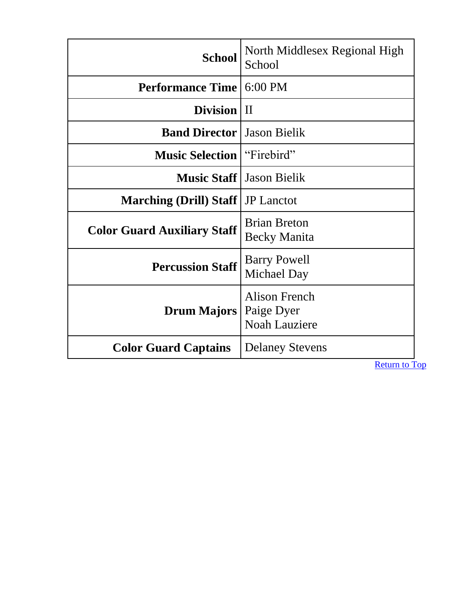<span id="page-6-0"></span>

| <b>School</b>                      | North Middlesex Regional High<br>School                    |
|------------------------------------|------------------------------------------------------------|
| <b>Performance Time</b>            | $6:00$ PM                                                  |
| Division   II                      |                                                            |
| <b>Band Director</b>               | <b>Jason Bielik</b>                                        |
| <b>Music Selection</b>             | "Firebird"                                                 |
| <b>Music Staff</b>                 | <b>Jason Bielik</b>                                        |
| <b>Marching (Drill) Staff</b>      | <b>JP</b> Lanctot                                          |
| <b>Color Guard Auxiliary Staff</b> | <b>Brian Breton</b><br><b>Becky Manita</b>                 |
| <b>Percussion Staff</b>            | <b>Barry Powell</b><br>Michael Day                         |
| <b>Drum Majors</b>                 | <b>Alison French</b><br>Paige Dyer<br><b>Noah Lauziere</b> |
| <b>Color Guard Captains</b>        | <b>Delaney Stevens</b>                                     |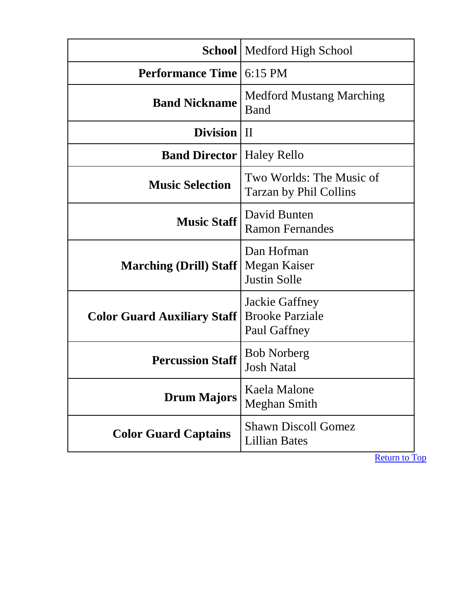<span id="page-7-0"></span>

|                                    | <b>School</b> Medford High School                        |
|------------------------------------|----------------------------------------------------------|
| <b>Performance Time</b>            | $6:15 \text{ PM}$                                        |
| <b>Band Nickname</b>               | <b>Medford Mustang Marching</b><br>Band                  |
| Division   II                      |                                                          |
| <b>Band Director   Haley Rello</b> |                                                          |
| <b>Music Selection</b>             | Two Worlds: The Music of<br>Tarzan by Phil Collins       |
| <b>Music Staff</b>                 | David Bunten<br><b>Ramon Fernandes</b>                   |
| <b>Marching (Drill) Staff</b>      | Dan Hofman<br>Megan Kaiser<br><b>Justin Solle</b>        |
| <b>Color Guard Auxiliary Staff</b> | Jackie Gaffney<br><b>Brooke Parziale</b><br>Paul Gaffney |
| <b>Percussion Staff</b>            | <b>Bob Norberg</b><br><b>Josh Natal</b>                  |
| <b>Drum Majors</b>                 | Kaela Malone<br><b>Meghan Smith</b>                      |
| <b>Color Guard Captains</b>        | <b>Shawn Discoll Gomez</b><br><b>Lillian Bates</b>       |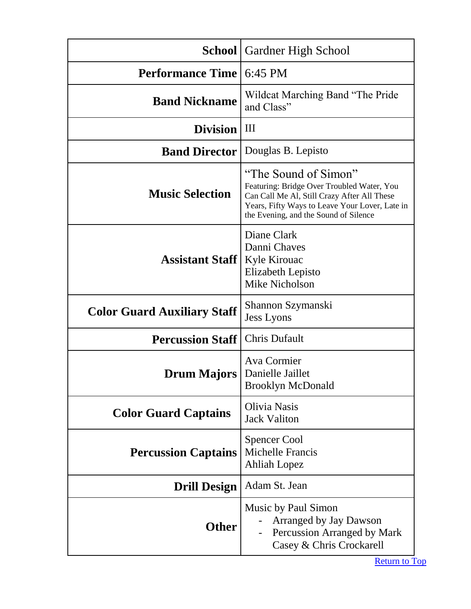<span id="page-8-0"></span>

|                                    | <b>School</b>   Gardner High School                                                                                                                                                                          |
|------------------------------------|--------------------------------------------------------------------------------------------------------------------------------------------------------------------------------------------------------------|
| <b>Performance Time</b>            | 6:45 PM                                                                                                                                                                                                      |
| <b>Band Nickname</b>               | Wildcat Marching Band "The Pride"<br>and Class"                                                                                                                                                              |
| <b>Division</b>                    | Ш                                                                                                                                                                                                            |
| <b>Band Director</b>               | Douglas B. Lepisto                                                                                                                                                                                           |
| <b>Music Selection</b>             | "The Sound of Simon"<br>Featuring: Bridge Over Troubled Water, You<br>Can Call Me Al, Still Crazy After All These<br>Years, Fifty Ways to Leave Your Lover, Late in<br>the Evening, and the Sound of Silence |
| <b>Assistant Staff</b>             | Diane Clark<br>Danni Chaves<br><b>Kyle Kirouac</b><br>Elizabeth Lepisto<br><b>Mike Nicholson</b>                                                                                                             |
| <b>Color Guard Auxiliary Staff</b> | Shannon Szymanski<br><b>Jess Lyons</b>                                                                                                                                                                       |
| <b>Percussion Staff</b>            | <b>Chris Dufault</b>                                                                                                                                                                                         |
| <b>Drum Majors</b>                 | Ava Cormier<br>Danielle Jaillet<br><b>Brooklyn McDonald</b>                                                                                                                                                  |
| <b>Color Guard Captains</b>        | Olivia Nasis<br><b>Jack Valiton</b>                                                                                                                                                                          |
| <b>Percussion Captains</b>         | <b>Spencer Cool</b><br>Michelle Francis<br><b>Ahliah Lopez</b>                                                                                                                                               |
| <b>Drill Design</b>                | Adam St. Jean                                                                                                                                                                                                |
| <b>Other</b>                       | Music by Paul Simon<br><b>Arranged by Jay Dawson</b><br>Percussion Arranged by Mark<br>Casey & Chris Crockarell                                                                                              |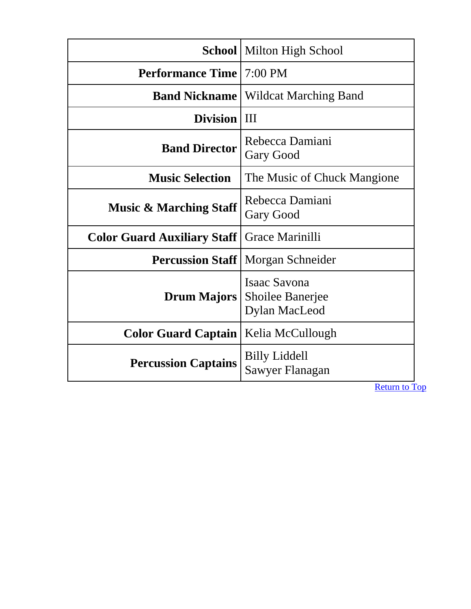<span id="page-9-0"></span>

|                                    | <b>School</b> Milton High School                                |
|------------------------------------|-----------------------------------------------------------------|
| <b>Performance Time</b>            | $7:00 \text{ PM}$                                               |
| <b>Band Nickname</b>               | <b>Wildcat Marching Band</b>                                    |
| <b>Division</b>                    | III                                                             |
| <b>Band Director</b>               | Rebecca Damiani<br><b>Gary Good</b>                             |
| <b>Music Selection</b>             | The Music of Chuck Mangione                                     |
| <b>Music &amp; Marching Staff</b>  | Rebecca Damiani<br><b>Gary Good</b>                             |
| <b>Color Guard Auxiliary Staff</b> | Grace Marinilli                                                 |
|                                    | <b>Percussion Staff</b>   Morgan Schneider                      |
| <b>Drum Majors</b>                 | <b>Isaac Savona</b><br><b>Shoilee Banerjee</b><br>Dylan MacLeod |
| <b>Color Guard Captain</b>         | Kelia McCullough                                                |
| <b>Percussion Captains</b>         | <b>Billy Liddell</b><br>Sawyer Flanagan                         |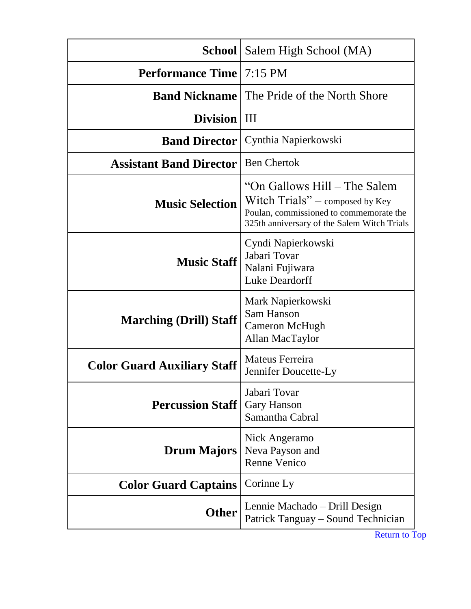<span id="page-10-0"></span>

| School                             | Salem High School (MA)                                                                                                                                       |
|------------------------------------|--------------------------------------------------------------------------------------------------------------------------------------------------------------|
| <b>Performance Time</b>            | $7:15 \text{ PM}$                                                                                                                                            |
| <b>Band Nickname</b>               | The Pride of the North Shore                                                                                                                                 |
| <b>Division</b>                    | III                                                                                                                                                          |
| <b>Band Director</b>               | Cynthia Napierkowski                                                                                                                                         |
| <b>Assistant Band Director</b>     | <b>Ben Chertok</b>                                                                                                                                           |
| <b>Music Selection</b>             | "On Gallows Hill – The Salem"<br>Witch $Trials"$ – composed by Key<br>Poulan, commissioned to commemorate the<br>325th anniversary of the Salem Witch Trials |
| <b>Music Staff</b>                 | Cyndi Napierkowski<br>Jabari Tovar<br>Nalani Fujiwara<br>Luke Deardorff                                                                                      |
| <b>Marching (Drill) Staff</b>      | Mark Napierkowski<br>Sam Hanson<br>Cameron McHugh<br>Allan MacTaylor                                                                                         |
| <b>Color Guard Auxiliary Staff</b> | Mateus Ferreira<br>Jennifer Doucette-Ly                                                                                                                      |
| <b>Percussion Staff</b>            | Jabari Tovar<br><b>Gary Hanson</b><br>Samantha Cabral                                                                                                        |
| <b>Drum Majors</b>                 | Nick Angeramo<br>Neva Payson and<br><b>Renne Venico</b>                                                                                                      |
| <b>Color Guard Captains</b>        | Corinne Ly                                                                                                                                                   |
| <b>Other</b>                       | Lennie Machado – Drill Design<br>Patrick Tanguay – Sound Technician                                                                                          |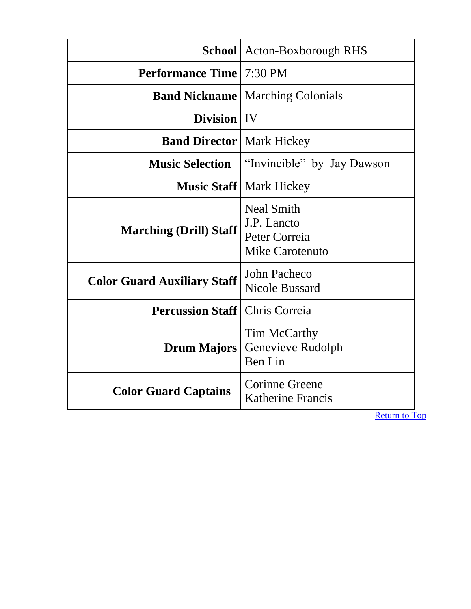<span id="page-11-0"></span>

|                                    | School   Acton-Boxborough RHS                                        |
|------------------------------------|----------------------------------------------------------------------|
| <b>Performance Time   7:30 PM</b>  |                                                                      |
| <b>Band Nickname</b>               | <b>Marching Colonials</b>                                            |
| Division   IV                      |                                                                      |
| <b>Band Director   Mark Hickey</b> |                                                                      |
| <b>Music Selection</b>             | "Invincible" by Jay Dawson                                           |
|                                    | <b>Music Staff</b>   Mark Hickey                                     |
| <b>Marching (Drill) Staff</b>      | <b>Neal Smith</b><br>J.P. Lancto<br>Peter Correia<br>Mike Carotenuto |
| <b>Color Guard Auxiliary Staff</b> | John Pacheco<br><b>Nicole Bussard</b>                                |
| <b>Percussion Staff</b>            | Chris Correia                                                        |
| <b>Drum Majors</b>                 | Tim McCarthy<br>Genevieve Rudolph<br>Ben Lin                         |
| <b>Color Guard Captains</b>        | Corinne Greene<br><b>Katherine Francis</b>                           |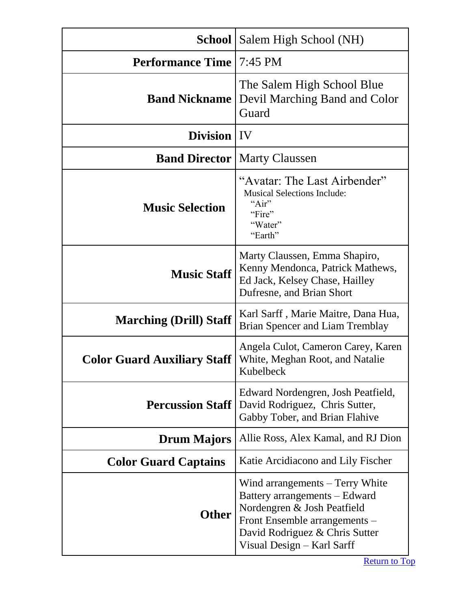<span id="page-12-0"></span>

|                                    | <b>School</b>   Salem High School (NH)                                                                                                                                                           |
|------------------------------------|--------------------------------------------------------------------------------------------------------------------------------------------------------------------------------------------------|
| <b>Performance Time</b>            | 7:45 PM                                                                                                                                                                                          |
| <b>Band Nickname</b>               | The Salem High School Blue<br>Devil Marching Band and Color<br>Guard                                                                                                                             |
| <b>Division</b>   IV               |                                                                                                                                                                                                  |
|                                    | <b>Band Director   Marty Claussen</b>                                                                                                                                                            |
| <b>Music Selection</b>             | "Avatar: The Last Airbender"<br><b>Musical Selections Include:</b><br>"Air"<br>"Fire"<br>"Water"<br>"Earth"                                                                                      |
| <b>Music Staff</b>                 | Marty Claussen, Emma Shapiro,<br>Kenny Mendonca, Patrick Mathews,<br>Ed Jack, Kelsey Chase, Hailley<br>Dufresne, and Brian Short                                                                 |
| <b>Marching (Drill) Staff</b>      | Karl Sarff, Marie Maitre, Dana Hua,<br><b>Brian Spencer and Liam Tremblay</b>                                                                                                                    |
| <b>Color Guard Auxiliary Staff</b> | Angela Culot, Cameron Carey, Karen<br>White, Meghan Root, and Natalie<br>Kubelbeck                                                                                                               |
| <b>Percussion Staff</b>            | Edward Nordengren, Josh Peatfield,<br>David Rodriguez, Chris Sutter,<br>Gabby Tober, and Brian Flahive                                                                                           |
| <b>Drum Majors</b>                 | Allie Ross, Alex Kamal, and RJ Dion                                                                                                                                                              |
| <b>Color Guard Captains</b>        | Katie Arcidiacono and Lily Fischer                                                                                                                                                               |
| <b>Other</b>                       | Wind arrangements – Terry White<br>Battery arrangements – Edward<br>Nordengren & Josh Peatfield<br>Front Ensemble arrangements -<br>David Rodriguez & Chris Sutter<br>Visual Design - Karl Sarff |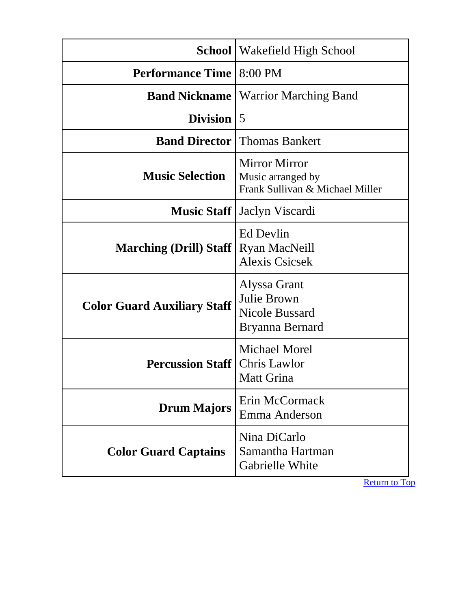<span id="page-13-0"></span>

| <b>School</b>                      | Wakefield High School                                                        |
|------------------------------------|------------------------------------------------------------------------------|
| <b>Performance Time</b>            | 8:00 PM                                                                      |
| <b>Band Nickname</b>               | <b>Warrior Marching Band</b>                                                 |
| <b>Division</b>                    | 5                                                                            |
| <b>Band Director</b>               | <b>Thomas Bankert</b>                                                        |
| <b>Music Selection</b>             | <b>Mirror Mirror</b><br>Music arranged by<br>Frank Sullivan & Michael Miller |
| <b>Music Staff</b>                 | Jaclyn Viscardi                                                              |
| <b>Marching (Drill) Staff</b>      | Ed Devlin<br><b>Ryan MacNeill</b><br><b>Alexis Csicsek</b>                   |
| <b>Color Guard Auxiliary Staff</b> | Alyssa Grant<br>Julie Brown<br><b>Nicole Bussard</b><br>Bryanna Bernard      |
| <b>Percussion Staff</b>            | <b>Michael Morel</b><br><b>Chris Lawlor</b><br>Matt Grina                    |
| <b>Drum Majors</b>                 | Erin McCormack<br>Emma Anderson                                              |
| <b>Color Guard Captains</b>        | Nina DiCarlo<br>Samantha Hartman<br>Gabrielle White                          |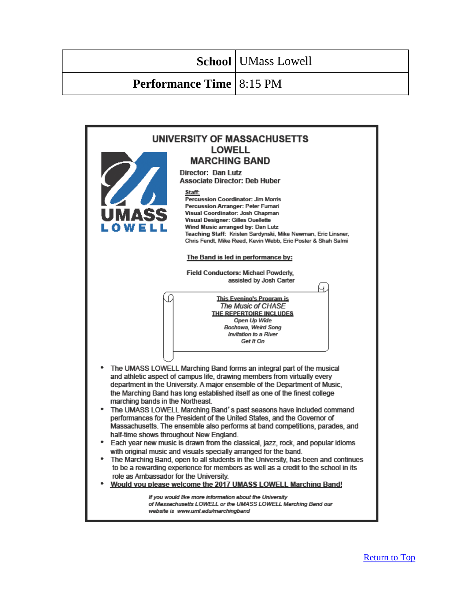#### <span id="page-14-0"></span>**Performance Time** 8:15 PM